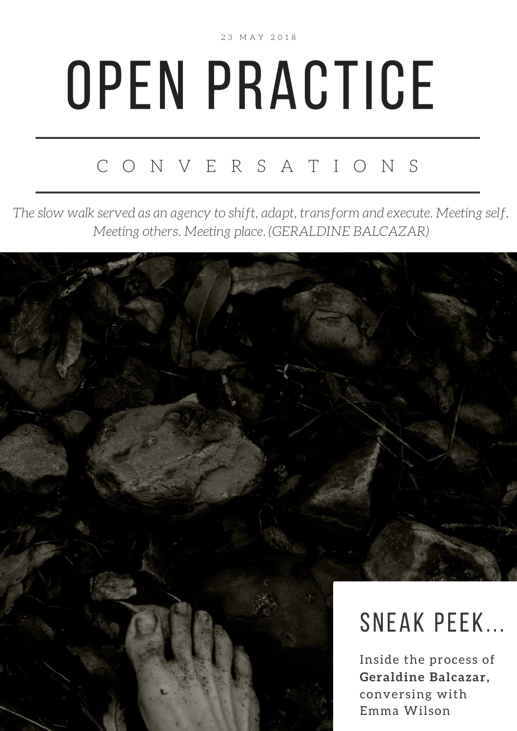2 3 M A Y 2 0 1 8

## OPEN PRACTICE

## C O N V E R S A T I O N S

*The slow walk served as an agency to shift, adapt, transform and execute. Meeting self. Meeting others. Meeting place. (GERALDINE BALCAZAR)*

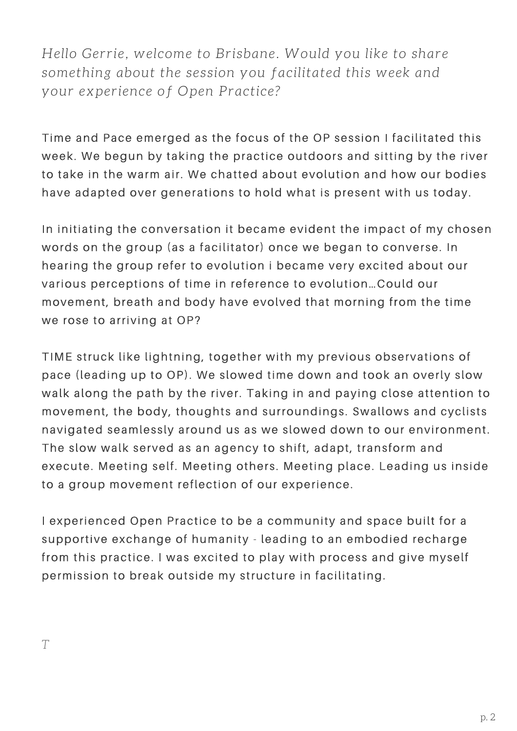*Hello Gerrie, welcome to Brisbane. Would you like to share something about the session you facilitated this week and your experience of Open Practice?*

Time and Pace emerged as the focus of the OP session I facilitated this week. We begun by taking the practice outdoors and sitting by the river to take in the warm air. We chatted about evolution and how our bodies have adapted over generations to hold what is present with us today.

In initiating the conversation it became evident the impact of my chosen words on the group (as a facilitator) once we began to converse. In hearing the group refer to evolution i became very excited about our various perceptions of time in reference to evolution...Could our movement, breath and body have evolved that morning from the time we rose to arriving at OP?

TIME struck like lightning, together with my previous observations of pace (leading up to OP). We slowed time down and took an overly slow walk along the path by the river. Taking in and paying close attention to movement, the body, thoughts and surroundings. Swallows and cyclists navigated seamlessly around us as we slowed down to our environment. The slow walk served as an agency to shift, adapt, transform and execute. Meeting self. Meeting others. Meeting place. Leading us inside to a group movement reflection of our experience.

I experienced Open Practice to be a community and space built for a supportive exchange of humanity - leading to an embodied recharge from this practice. I was excited to play with process and give myself permission to break outside my structure in facilitating.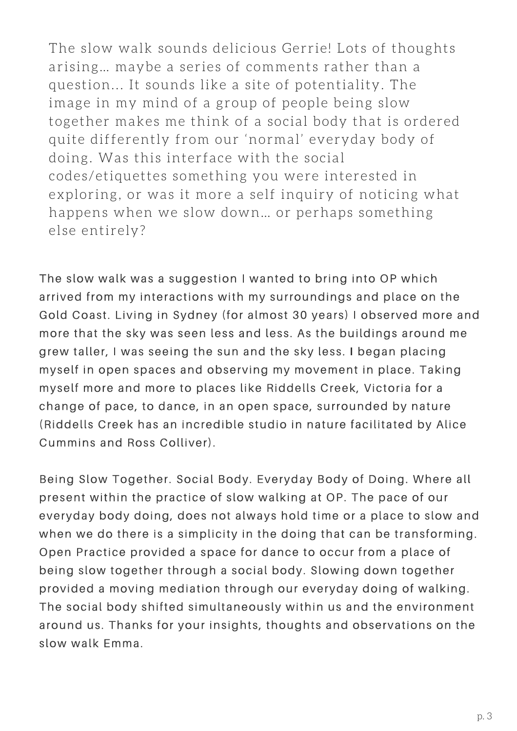The slow walk sounds delicious Gerrie! Lots of thoughts arising… maybe a series of comments rather than a question... It sounds like a site of potentiality. The image in my mind of a group of people being slow together makes me think of a social body that is ordered quite differently from our 'normal' everyday body of doing. Was this interface with the social codes/etiquettes something you were interested in exploring, or was it more a self inquiry of noticing what happens when we slow down… or perhaps something else entirely?

The slow walk was a suggestion I wanted to bring into OP which arrived from my interactions with my surroundings and place on the Gold Coast. Living in Sydney (for almost 30 years) I observed more and more that the sky was seen less and less. As the buildings around me grew taller, I was seeing the sun and the sky less. I began placing myself in open spaces and observing my movement in place. Taking myself more and more to places like Riddells Creek, Victoria for a change of pace, to dance, in an open space, surrounded by nature (Riddells Creek has an incredible studio in nature facilitated by Alice Cummins and Ross Colliver).

Being Slow Together. Social Body. Everyday Body of Doing. Where all present within the practice of slow walking at OP. The pace of our everyday body doing, does not always hold time or a place to slow and when we do there is a simplicity in the doing that can be transforming. Open Practice provided a space for dance to occur from a place of being slow together through a social body. Slowing down together provided a moving mediation through our everyday doing of walking. The social body shifted simultaneously within us and the environment around us. Thanks for your insights, thoughts and observations on the slow walk Emma.